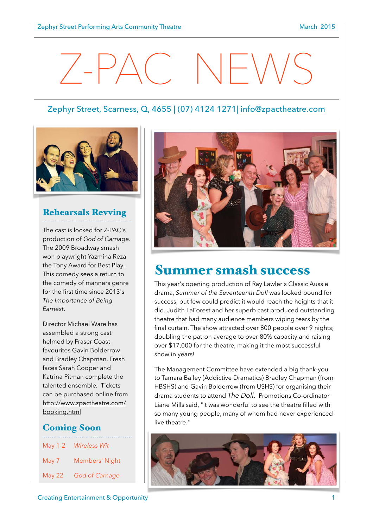# $Z-PAC$  NEWS

#### Zephyr Street, Scarness, Q, 4655 | (07) 4124 1271| [info@zpactheatre.com](mailto:info@zpactheatre.com)



#### Rehearsals Revving

The cast is locked for Z-PAC's production of *God of Carnage*. The 2009 Broadway smash won playwright Yazmina Reza the Tony Award for Best Play. This comedy sees a return to the comedy of manners genre for the first time since 2013's *The Importance of Being Earnest*.

Director Michael Ware has assembled a strong cast helmed by Fraser Coast favourites Gavin Bolderrow and Bradley Chapman. Fresh faces Sarah Cooper and Katrina Pitman complete the talented ensemble*.* Tickets can be purchased online from [http://www.zpactheatre.com/](http://www.zpactheatre.com/booking.html) booking.html

#### Coming Soon

| May 1-2 | <b>Wireless Wit</b> |
|---------|---------------------|
| May 7   | Members' Night      |
| May 22  | God of Carnage      |



### Summer smash success

This year's opening production of Ray Lawler's Classic Aussie drama, *Summer of the Seventeenth Doll* was looked bound for success, but few could predict it would reach the heights that it did. Judith LaForest and her superb cast produced outstanding theatre that had many audience members wiping tears by the final curtain. The show attracted over 800 people over 9 nights; doubling the patron average to over 80% capacity and raising over \$17,000 for the theatre, making it the most successful show in years!

The Management Committee have extended a big thank-you to Tamara Bailey (Addictive Dramatics) Bradley Chapman (from HBSHS) and Gavin Bolderrow (from USHS) for organising their drama students to attend *The Doll*. Promotions Co-ordinator Liane Mills said, "It was wonderful to see the theatre filled with so many young people, many of whom had never experienced live theatre."

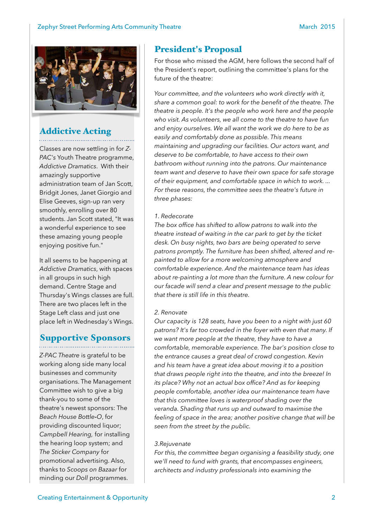

## Addictive Acting

Classes are now settling in for *Z-PAC's* Youth Theatre programme, *Addictive Dramatics*. With their amazingly supportive administration team of Jan Scott, Bridgit Jones, Janet Giorgio and Elise Geeves, sign-up ran very smoothly, enrolling over 80 students. Jan Scott stated, "It was a wonderful experience to see these amazing young people enjoying positive fun."

It all seems to be happening at *Addictive Dramatics*, with spaces in all groups in such high demand. Centre Stage and Thursday's Wings classes are full. There are two places left in the Stage Left class and just one place left in Wednesday's Wings.

#### Supportive Sponsors

*Z-PAC Theatre* is grateful to be working along side many local businesses and community organisations. The Management Committee wish to give a big thank-you to some of the theatre's newest sponsors: The *Beach House Bottle***-***O*, for providing discounted liquor; *Campbell Hearing,* for installing the hearing loop system; and *The Sticker Company* for promotional advertising. Also, thanks to *Scoops on Bazaar* for minding our *Doll* programmes.

#### President's Proposal

For those who missed the AGM, here follows the second half of the President's report, outlining the committee's plans for the future of the theatre:

*Your committee, and the volunteers who work directly with it, share a common goal: to work for the benefit of the theatre. The theatre is people. It's the people who work here and the people who visit. As volunteers, we all come to the theatre to have fun and enjoy ourselves. We all want the work we do here to be as easily and comfortably done as possible. This means maintaining and upgrading our facilities. Our actors want, and deserve to be comfortable, to have access to their own bathroom without running into the patrons. Our maintenance team want and deserve to have their own space for safe storage of their equipment, and comfortable space in which to work. ... For these reasons, the committee sees the theatre's future in three phases:* 

#### *1. Redecorate*

*The box office has shifted to allow patrons to walk into the theatre instead of waiting in the car park to get by the ticket desk. On busy nights, two bars are being operated to serve patrons promptly. The furniture has been shifted, altered and repainted to allow for a more welcoming atmosphere and comfortable experience. And the maintenance team has ideas about re-painting a lot more than the furniture. A new colour for our facade will send a clear and present message to the public that there is still life in this theatre.* 

#### *2. Renovate*

*Our capacity is 128 seats, have you been to a night with just 60 patrons? It's far too crowded in the foyer with even that many. If we want more people at the theatre, they have to have a comfortable, memorable experience. The bar's position close to the entrance causes a great deal of crowd congestion. Kevin and his team have a great idea about moving it to a position that draws people right into the theatre, and into the breeze! In its place? Why not an actual box office? And as for keeping people comfortable, another idea our maintenance team have that this committee loves is waterproof shading over the veranda. Shading that runs up and outward to maximise the feeling of space in the area; another positive change that will be seen from the street by the public.* 

#### *3.Rejuvenate*

*For this, the committee began organising a feasibility study, one we'll need to fund with grants, that encompasses engineers, architects and industry professionals into examining the*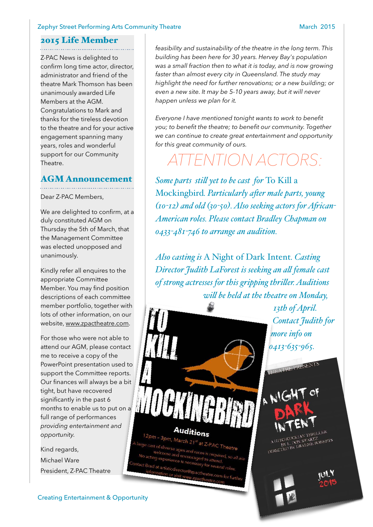#### Zephyr Street Performing Arts Community Theatre March 2015

#### 2015 Life Member

Z-PAC News is delighted to confirm long time actor, director, administrator and friend of the theatre Mark Thomson has been unanimously awarded Life Members at the AGM. Congratulations to Mark and thanks for the tireless devotion to the theatre and for your active engagement spanning many years, roles and wonderful support for our Community Theatre.

#### AGM Announcement

Dear Z-PAC Members,

We are delighted to confirm, at a duly constituted AGM on Thursday the 5th of March, that the Management Committee was elected unopposed and unanimously.

Kindly refer all enquires to the appropriate Committee Member. You may find position descriptions of each committee member portfolio, together with lots of other information, on our website, [www.zpactheatre.com](http://www.zpactheatre.com).

For those who were not able to attend our AGM, please contact me to receive a copy of the PowerPoint presentation used to support the Committee reports. Our finances will always be a bit tight, but have recovered significantly in the past 6 months to enable us to put on a full range of performances *providing entertainment and opportunity.* 

Kind regards, Michael Ware President, Z-PAC Theatre

*feasibility and sustainability of the theatre in the long term. This building has been here for 30 years. Hervey Bay's population was a small fraction then to what it is today, and is now growing faster than almost every city in Queensland. The study may highlight the need for further renovations; or a new building; or even a new site. It may be 5-10 years away, but it will never happen unless we plan for it.* 

*Everyone I have mentioned tonight wants to work to benefit you; to benefit the theatre; to benefit our community. Together we can continue to create great entertainment and opportunity for this great community of ours.*

## *ATTENTION ACTORS:*

*Some parts stil yet to be cast for* To Kill a Mockingbird*. Particularly afer male parts, young (10-12) and old (30-50). Also seeking actors for Afican-American roles. Please contact Bradley Chapman on 0433-481-746 to arrange an audition.*

*Also casting is* A Night of Dark Intent*. Casting Director Judith LaForest is seeking an al female cast of strong actresses for this gripping thriler. Auditions wil be held at the theatre on Monday,* 

> *13th of April. Contact Judith for more info on 0413-635-965.*

A NIGH

Auditions  $2pm - 3pm$ , March 21<sup>st</sup> at Z-PAC Theatre



A HITCHCOCKIAN THRILLLAND<br>BY L. DON SWARTZ<br>DIRECTED BY BRAEME ROBERTS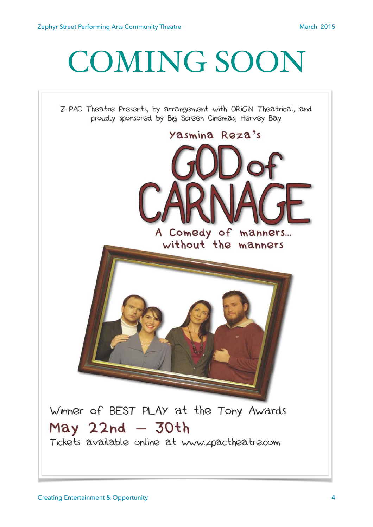## COMING SOON

Z-PAC Theatre Presents, by arrangement with ORiGiN Theatrical, and proudly sponsored by Big Screen Cinemas, Hervey Bay



Tickets available online at www.zpactheatre.com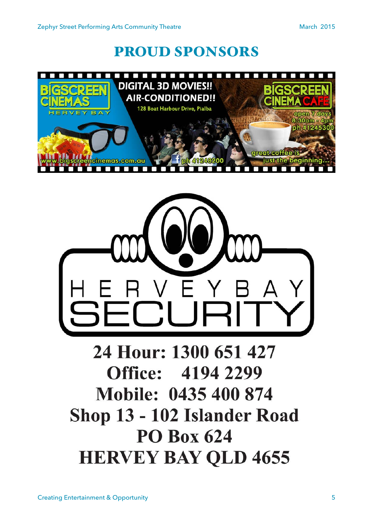## PROUD SPONSORS





## 24 Hour: 1300 651 427 **Office: 4194 2299** Mobile: 0435 400 874 Shop 13 - 102 Islander Road **PO Box 624 HERVEY BAY QLD 4655**